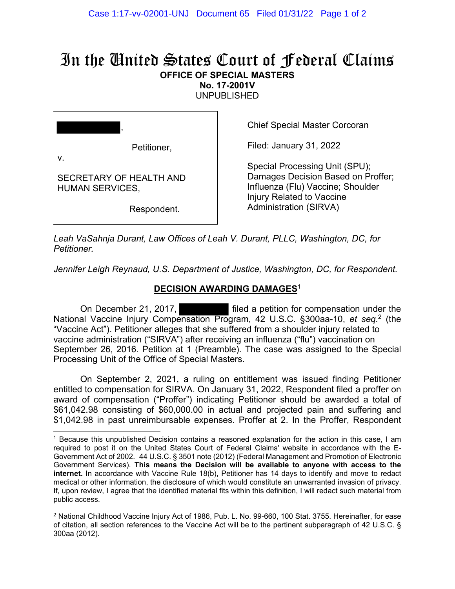# In the United States Court of Federal Claims **OFFICE OF SPECIAL MASTERS**

**No. 17-2001V** 

UNPUBLISHED

| ,            |             |
|--------------|-------------|
| $\mathbf{V}$ | Petitioner, |

SECRETARY OF HEALTH AND

HUMAN SERVICES,

Chief Special Master Corcoran

Filed: January 31, 2022

Special Processing Unit (SPU); Damages Decision Based on Proffer; Influenza (Flu) Vaccine; Shoulder Injury Related to Vaccine Administration (SIRVA)

Respondent.

*Leah VaSahnja Durant, Law Offices of Leah V. Durant, PLLC, Washington, DC, for Petitioner.* 

Jennifer Leigh Reynaud, U.S. Department of Justice, Washington, DC, for Respondent.

# **DECISION AWARDING DAMAGES**<sup>1</sup>

 On December 21, 2017, filed a petition for compensation under the National Vaccine Injury Compensation Program, 42 U.S.C. §300aa-10, *et seq.*2 (the "Vaccine Act"). Petitioner alleges that she suffered from a shoulder injury related to vaccine administration ("SIRVA") after receiving an influenza ("flu") vaccination on September 26, 2016. Petition at 1 (Preamble). The case was assigned to the Special Processing Unit of the Office of Special Masters.

On September 2, 2021, a ruling on entitlement was issued finding Petitioner entitled to compensation for SIRVA. On January 31, 2022, Respondent filed a proffer on award of compensation ("Proffer") indicating Petitioner should be awarded a total of \$61,042.98 consisting of \$60,000.00 in actual and projected pain and suffering and \$1,042.98 in past unreimbursable expenses. Proffer at 2. In the Proffer, Respondent

<sup>1</sup> Because this unpublished Decision contains a reasoned explanation for the action in this case, I am required to post it on the United States Court of Federal Claims' website in accordance with the E-Government Act of 2002. 44 U.S.C. § 3501 note (2012) (Federal Management and Promotion of Electronic Government Services). **This means the Decision will be available to anyone with access to the internet.** In accordance with Vaccine Rule 18(b), Petitioner has 14 days to identify and move to redact medical or other information, the disclosure of which would constitute an unwarranted invasion of privacy. If, upon review, I agree that the identified material fits within this definition, I will redact such material from public access.

<sup>&</sup>lt;sup>2</sup> National Childhood Vaccine Injury Act of 1986, Pub. L. No. 99-660, 100 Stat. 3755. Hereinafter, for ease of citation, all section references to the Vaccine Act will be to the pertinent subparagraph of 42 U.S.C. § 300aa (2012).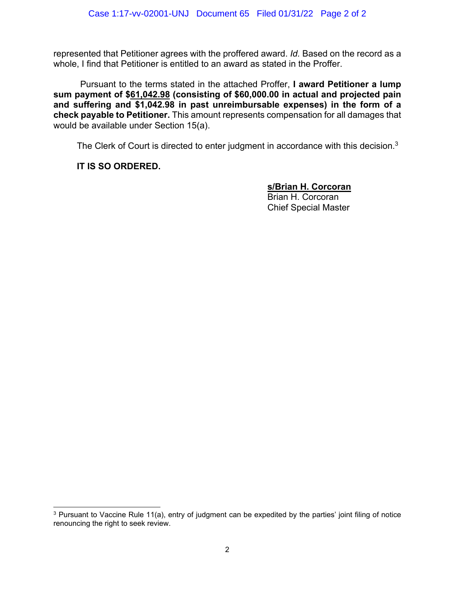represented that Petitioner agrees with the proffered award. *Id.* Based on the record as a whole, I find that Petitioner is entitled to an award as stated in the Proffer.

 Pursuant to the terms stated in the attached Proffer, **I award Petitioner a lump sum payment of \$61,042.98 (consisting of \$60,000.00 in actual and projected pain and suffering and \$1,042.98 in past unreimbursable expenses) in the form of a check payable to Petitioner.** This amount represents compensation for all damages that would be available under Section 15(a).

The Clerk of Court is directed to enter judgment in accordance with this decision.<sup>3</sup>

## **IT IS SO ORDERED.**

 **s/Brian H. Corcoran**  Brian H. Corcoran Chief Special Master

<sup>&</sup>lt;sup>3</sup> Pursuant to Vaccine Rule 11(a), entry of judgment can be expedited by the parties' joint filing of notice renouncing the right to seek review.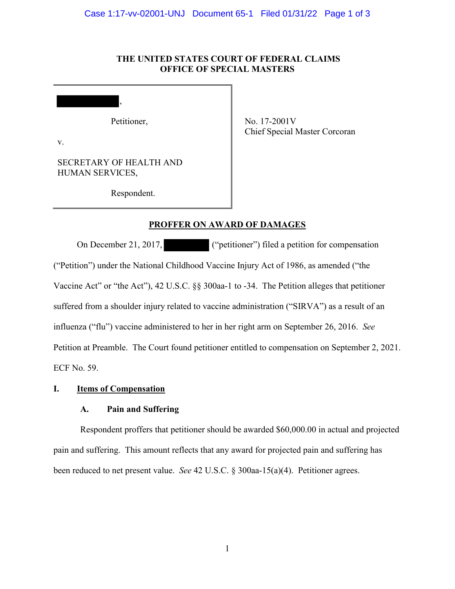#### **THE UNITED STATES COURT OF FEDERAL CLAIMS OFFICE OF SPECIAL MASTERS**

Petitioner,

,

v.

I

SECRETARY OF HEALTH AND HUMAN SERVICES,

No. 17-2001V Chief Special Master Corcoran

Respondent.

### **PROFFER ON AWARD OF DAMAGES**

On December 21, 2017, ("petitioner") filed a petition for compensation ("Petition") under the National Childhood Vaccine Injury Act of 1986, as amended ("the Vaccine Act" or "the Act"), 42 U.S.C. §§ 300aa-1 to -34. The Petition alleges that petitioner suffered from a shoulder injury related to vaccine administration ("SIRVA") as a result of an influenza ("flu") vaccine administered to her in her right arm on September 26, 2016. *See* Petition at Preamble. The Court found petitioner entitled to compensation on September 2, 2021. ECF No. 59.

#### **I. Items of Compensation**

## **A. Pain and Suffering**

Respondent proffers that petitioner should be awarded \$60,000.00 in actual and projected pain and suffering. This amount reflects that any award for projected pain and suffering has been reduced to net present value. *See* 42 U.S.C. § 300aa-15(a)(4). Petitioner agrees.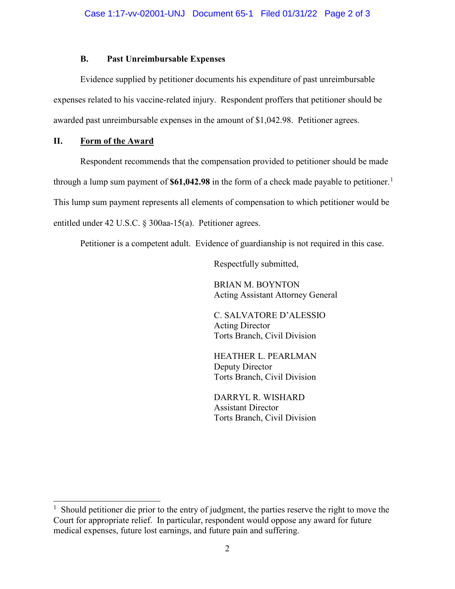#### **B. Past Unreimbursable Expenses**

Evidence supplied by petitioner documents his expenditure of past unreimbursable expenses related to his vaccine-related injury. Respondent proffers that petitioner should be awarded past unreimbursable expenses in the amount of \$1,042.98. Petitioner agrees.

#### **II. Form of the Award**

Respondent recommends that the compensation provided to petitioner should be made through a lump sum payment of  $$61,042.98$  $$61,042.98$  $$61,042.98$  in the form of a check made payable to petitioner.<sup>1</sup> This lump sum payment represents all elements of compensation to which petitioner would be entitled under 42 U.S.C. § 300aa-15(a). Petitioner agrees.

Petitioner is a competent adult. Evidence of guardianship is not required in this case.

Respectfully submitted,

BRIAN M. BOYNTON Acting Assistant Attorney General

C. SALVATORE D'ALESSIO Acting Director Torts Branch, Civil Division

HEATHER L. PEARLMAN Deputy Director Torts Branch, Civil Division

DARRYL R. WISHARD Assistant Director Torts Branch, Civil Division

<span id="page-3-0"></span><sup>&</sup>lt;sup>1</sup> Should petitioner die prior to the entry of judgment, the parties reserve the right to move the Court for appropriate relief. In particular, respondent would oppose any award for future medical expenses, future lost earnings, and future pain and suffering.